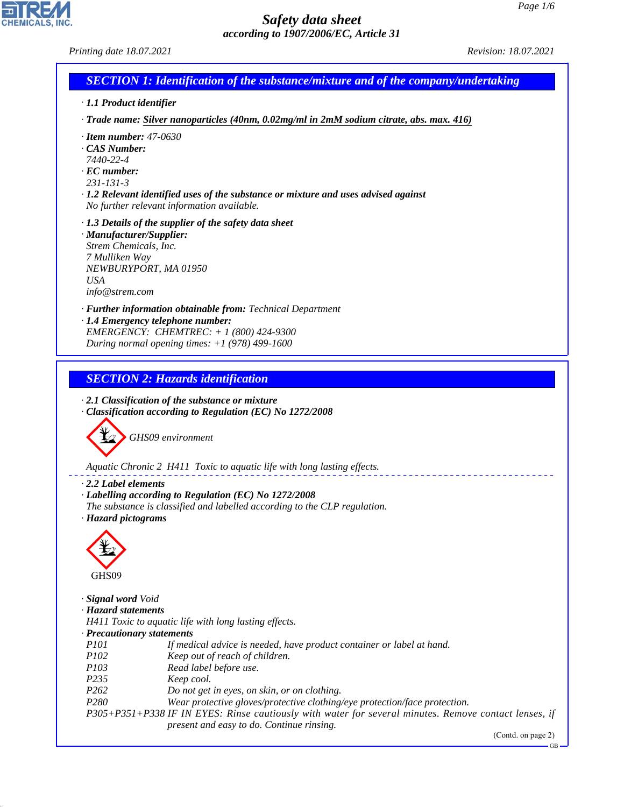*Printing date 18.07.2021 Revision: 18.07.2021*



*· 1.1 Product identifier*

*· Trade name: Silver nanoparticles (40nm, 0.02mg/ml in 2mM sodium citrate, abs. max. 416)*

- *· Item number: 47-0630*
- *· CAS Number:*
- *7440-22-4*
- *· EC number:*
- *231-131-3*

*· 1.2 Relevant identified uses of the substance or mixture and uses advised against No further relevant information available.*

- *· 1.3 Details of the supplier of the safety data sheet*
- *· Manufacturer/Supplier: Strem Chemicals, Inc. 7 Mulliken Way NEWBURYPORT, MA 01950 USA info@strem.com*

*· Further information obtainable from: Technical Department · 1.4 Emergency telephone number: EMERGENCY: CHEMTREC: + 1 (800) 424-9300 During normal opening times: +1 (978) 499-1600*

*SECTION 2: Hazards identification*

*· 2.1 Classification of the substance or mixture · Classification according to Regulation (EC) No 1272/2008*



*Aquatic Chronic 2 H411 Toxic to aquatic life with long lasting effects.*

*· 2.2 Label elements*

- *· Labelling according to Regulation (EC) No 1272/2008*
- *The substance is classified and labelled according to the CLP regulation.*
- *· Hazard pictograms*



44.1.1

*· Signal word Void*

*· Hazard statements*

*H411 Toxic to aquatic life with long lasting effects.*

*· Precautionary statements*

- *P101 If medical advice is needed, have product container or label at hand.*
- *P102 Keep out of reach of children.*
- *P103 Read label before use.*
- *P235 Keep cool.*
- *P262 Do not get in eyes, on skin, or on clothing.*
- *P280 Wear protective gloves/protective clothing/eye protection/face protection.*

*P305+P351+P338 IF IN EYES: Rinse cautiously with water for several minutes. Remove contact lenses, if present and easy to do. Continue rinsing.*

(Contd. on page 2)

GB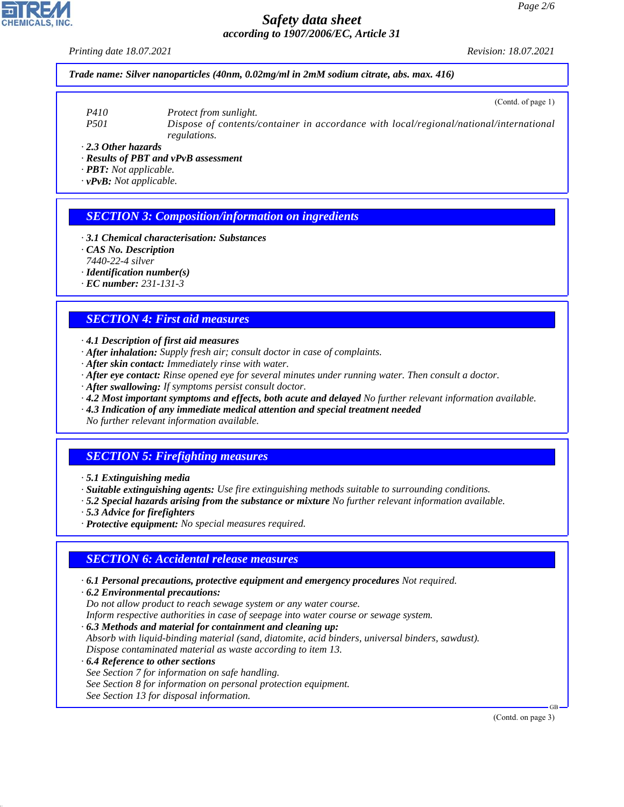*Printing date 18.07.2021 Revision: 18.07.2021*

*Trade name: Silver nanoparticles (40nm, 0.02mg/ml in 2mM sodium citrate, abs. max. 416)*

(Contd. of page 1)

*P410 Protect from sunlight. P501 Dispose of contents/container in accordance with local/regional/national/international regulations.*

*· 2.3 Other hazards*

*· Results of PBT and vPvB assessment*

*· PBT: Not applicable.*

*· vPvB: Not applicable.*

### *SECTION 3: Composition/information on ingredients*

*· 3.1 Chemical characterisation: Substances*

*· CAS No. Description*

*7440-22-4 silver*

*· Identification number(s)*

*· EC number: 231-131-3*

### *SECTION 4: First aid measures*

*· 4.1 Description of first aid measures*

- *· After inhalation: Supply fresh air; consult doctor in case of complaints.*
- *· After skin contact: Immediately rinse with water.*
- *· After eye contact: Rinse opened eye for several minutes under running water. Then consult a doctor.*
- *· After swallowing: If symptoms persist consult doctor.*
- *· 4.2 Most important symptoms and effects, both acute and delayed No further relevant information available.*
- *· 4.3 Indication of any immediate medical attention and special treatment needed*

*No further relevant information available.*

## *SECTION 5: Firefighting measures*

*· Suitable extinguishing agents: Use fire extinguishing methods suitable to surrounding conditions.*

- *· 5.2 Special hazards arising from the substance or mixture No further relevant information available.*
- *· 5.3 Advice for firefighters*
- *· Protective equipment: No special measures required.*

### *SECTION 6: Accidental release measures*

*· 6.1 Personal precautions, protective equipment and emergency procedures Not required.*

*· 6.2 Environmental precautions: Do not allow product to reach sewage system or any water course. Inform respective authorities in case of seepage into water course or sewage system.*

*· 6.3 Methods and material for containment and cleaning up:*

*Absorb with liquid-binding material (sand, diatomite, acid binders, universal binders, sawdust). Dispose contaminated material as waste according to item 13.*

*· 6.4 Reference to other sections See Section 7 for information on safe handling. See Section 8 for information on personal protection equipment. See Section 13 for disposal information.*

(Contd. on page 3)

GB



44.1.1

*<sup>·</sup> 5.1 Extinguishing media*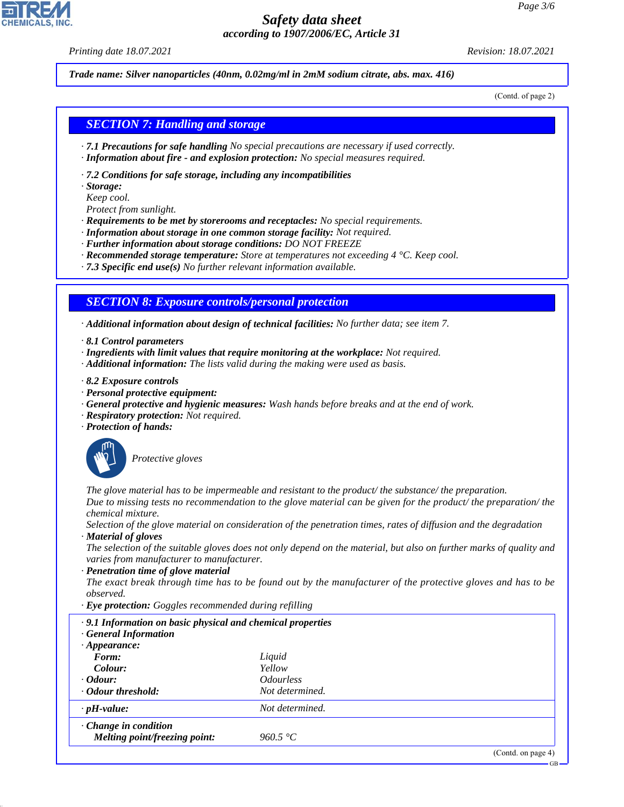*Printing date 18.07.2021 Revision: 18.07.2021*

*Trade name: Silver nanoparticles (40nm, 0.02mg/ml in 2mM sodium citrate, abs. max. 416)*

(Contd. of page 2)

### *SECTION 7: Handling and storage*

- *· 7.1 Precautions for safe handling No special precautions are necessary if used correctly.*
- *· Information about fire and explosion protection: No special measures required.*
- *· 7.2 Conditions for safe storage, including any incompatibilities*
- *· Storage:*
- *Keep cool.*
- *Protect from sunlight.*
- *· Requirements to be met by storerooms and receptacles: No special requirements.*
- *· Information about storage in one common storage facility: Not required.*
- *· Further information about storage conditions: DO NOT FREEZE*
- *· Recommended storage temperature: Store at temperatures not exceeding 4 °C. Keep cool.*
- *· 7.3 Specific end use(s) No further relevant information available.*

### *SECTION 8: Exposure controls/personal protection*

*· Additional information about design of technical facilities: No further data; see item 7.*

- *· 8.1 Control parameters*
- *· Ingredients with limit values that require monitoring at the workplace: Not required.*
- *· Additional information: The lists valid during the making were used as basis.*
- *· 8.2 Exposure controls*
- *· Personal protective equipment:*
- *· General protective and hygienic measures: Wash hands before breaks and at the end of work.*
- *· Respiratory protection: Not required.*
- *· Protection of hands:*



44.1.1

\_S*Protective gloves*

*The glove material has to be impermeable and resistant to the product/ the substance/ the preparation. Due to missing tests no recommendation to the glove material can be given for the product/ the preparation/ the chemical mixture.*

*Selection of the glove material on consideration of the penetration times, rates of diffusion and the degradation · Material of gloves*

*The selection of the suitable gloves does not only depend on the material, but also on further marks of quality and varies from manufacturer to manufacturer.*

*· Penetration time of glove material*

*The exact break through time has to be found out by the manufacturer of the protective gloves and has to be observed.*

*· Eye protection: Goggles recommended during refilling*

| .9.1 Information on basic physical and chemical properties<br><b>General Information</b> |                                |
|------------------------------------------------------------------------------------------|--------------------------------|
| $\cdot$ Appearance:                                                                      |                                |
| Form:                                                                                    | Liquid                         |
| Colour:                                                                                  | Yellow                         |
| $\cdot$ Odour:                                                                           | <i><u><b>Odourless</b></u></i> |
| · Odour threshold:                                                                       | Not determined.                |
| $\cdot$ pH-value:                                                                        | Not determined.                |
| $\cdot$ Change in condition                                                              |                                |
| Melting point/freezing point:                                                            | 960.5 °C                       |
|                                                                                          |                                |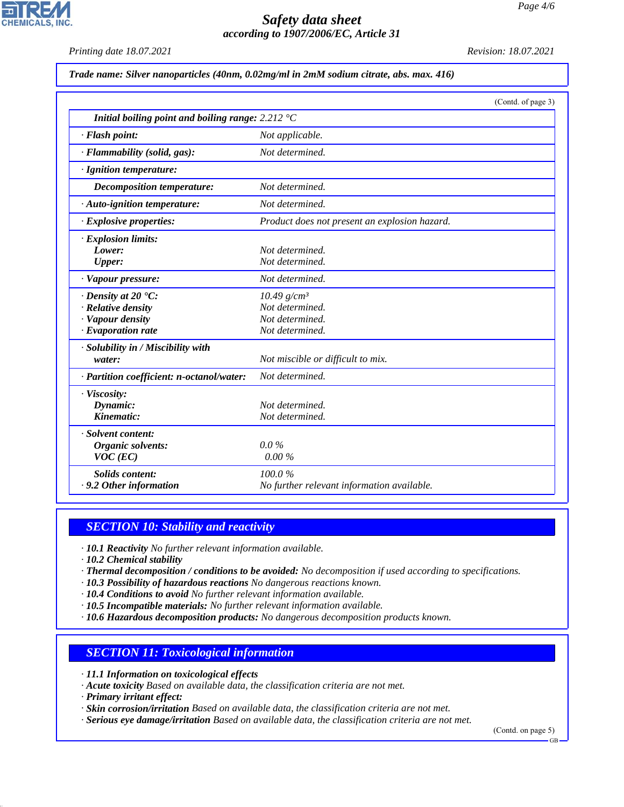*Printing date 18.07.2021 Revision: 18.07.2021*

**CHEMICALS, INC** 

*Trade name: Silver nanoparticles (40nm, 0.02mg/ml in 2mM sodium citrate, abs. max. 416)*

|                                                                    | (Contd. of page 3)                            |
|--------------------------------------------------------------------|-----------------------------------------------|
| Initial boiling point and boiling range: $2.212 \text{ }^{\circ}C$ |                                               |
| · Flash point:                                                     | Not applicable.                               |
| · Flammability (solid, gas):                                       | Not determined.                               |
| · Ignition temperature:                                            |                                               |
| <b>Decomposition temperature:</b>                                  | Not determined.                               |
| $\cdot$ Auto-ignition temperature:                                 | Not determined.                               |
| · Explosive properties:                                            | Product does not present an explosion hazard. |
| · Explosion limits:                                                |                                               |
| Lower:                                                             | Not determined.                               |
| Upper:                                                             | Not determined.                               |
| · Vapour pressure:                                                 | Not determined.                               |
| $\cdot$ Density at 20 $\textdegree$ C:                             | $10.49$ g/cm <sup>3</sup>                     |
| · Relative density                                                 | Not determined.                               |
| · Vapour density                                                   | Not determined.                               |
| $\cdot$ Evaporation rate                                           | Not determined.                               |
| · Solubility in / Miscibility with                                 |                                               |
| water:                                                             | Not miscible or difficult to mix.             |
| · Partition coefficient: n-octanol/water:                          | Not determined.                               |
| · Viscosity:                                                       |                                               |
| Dynamic:                                                           | Not determined.                               |
| Kinematic:                                                         | Not determined.                               |
| · Solvent content:                                                 |                                               |
| Organic solvents:                                                  | $0.0\%$                                       |
| $VOC$ (EC)                                                         | 0.00%                                         |
| <b>Solids content:</b>                                             | 100.0%                                        |
| . 9.2 Other information                                            | No further relevant information available.    |

## *SECTION 10: Stability and reactivity*

*· 10.1 Reactivity No further relevant information available.*

*· 10.2 Chemical stability*

*· Thermal decomposition / conditions to be avoided: No decomposition if used according to specifications.*

- *· 10.3 Possibility of hazardous reactions No dangerous reactions known.*
- *· 10.4 Conditions to avoid No further relevant information available.*

*· 10.5 Incompatible materials: No further relevant information available.*

*· 10.6 Hazardous decomposition products: No dangerous decomposition products known.*

## *SECTION 11: Toxicological information*

*· 11.1 Information on toxicological effects*

*· Acute toxicity Based on available data, the classification criteria are not met.*

*· Primary irritant effect:*

44.1.1

*· Skin corrosion/irritation Based on available data, the classification criteria are not met.*

*· Serious eye damage/irritation Based on available data, the classification criteria are not met.*

(Contd. on page 5)

GB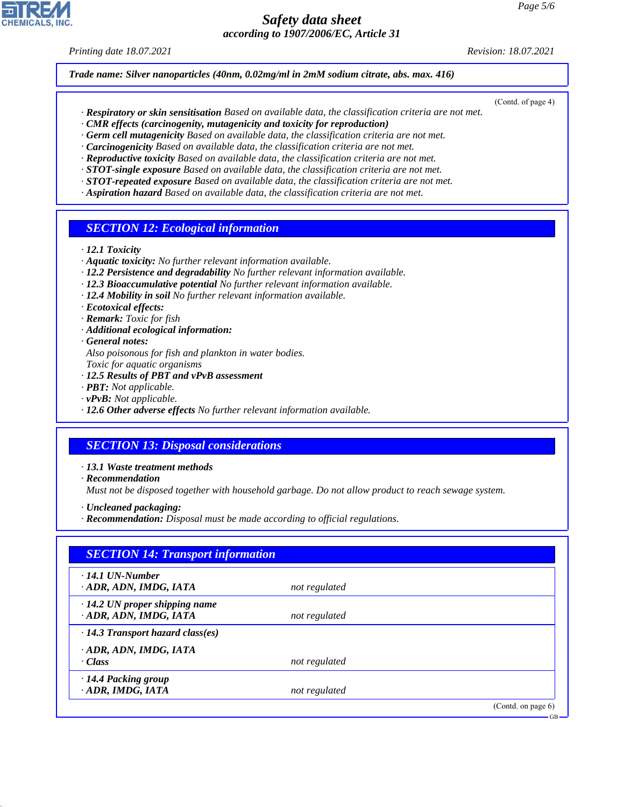*Printing date 18.07.2021 Revision: 18.07.2021*

*Trade name: Silver nanoparticles (40nm, 0.02mg/ml in 2mM sodium citrate, abs. max. 416)*

- (Contd. of page 4)
- *· Respiratory or skin sensitisation Based on available data, the classification criteria are not met.*
- *· CMR effects (carcinogenity, mutagenicity and toxicity for reproduction)*
- *· Germ cell mutagenicity Based on available data, the classification criteria are not met.*
- *· Carcinogenicity Based on available data, the classification criteria are not met.*
- *· Reproductive toxicity Based on available data, the classification criteria are not met. · STOT-single exposure Based on available data, the classification criteria are not met.*
- *· STOT-repeated exposure Based on available data, the classification criteria are not met.*
- *· Aspiration hazard Based on available data, the classification criteria are not met.*

### *SECTION 12: Ecological information*

- *· 12.1 Toxicity*
- *· Aquatic toxicity: No further relevant information available.*
- *· 12.2 Persistence and degradability No further relevant information available.*
- *· 12.3 Bioaccumulative potential No further relevant information available.*
- *· 12.4 Mobility in soil No further relevant information available.*
- *· Ecotoxical effects:*
- *· Remark: Toxic for fish*
- *· Additional ecological information:*
- *· General notes:*
- *Also poisonous for fish and plankton in water bodies.*
- *Toxic for aquatic organisms*
- *· 12.5 Results of PBT and vPvB assessment*
- *· PBT: Not applicable.*
- *· vPvB: Not applicable.*
- *· 12.6 Other adverse effects No further relevant information available.*

### *SECTION 13: Disposal considerations*

- *· 13.1 Waste treatment methods*
- *· Recommendation*

44.1.1

*Must not be disposed together with household garbage. Do not allow product to reach sewage system.*

- *· Uncleaned packaging:*
- *· Recommendation: Disposal must be made according to official regulations.*

| $\cdot$ 14.1 UN-Number                  |               |  |
|-----------------------------------------|---------------|--|
| ADR, ADN, IMDG, IATA                    | not regulated |  |
| $\cdot$ 14.2 UN proper shipping name    |               |  |
| · ADR, ADN, IMDG, IATA                  | not regulated |  |
| $\cdot$ 14.3 Transport hazard class(es) |               |  |
| ADR, ADN, IMDG, IATA                    |               |  |
| · Class                                 | not regulated |  |
| · 14.4 Packing group                    |               |  |
| · ADR, IMDG, IATA                       | not regulated |  |